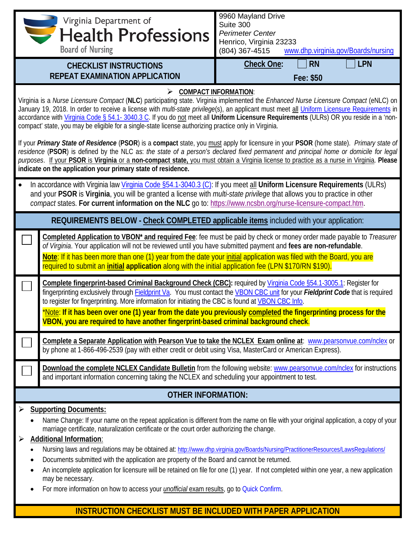| Virginia Department of<br><b>Health Professions</b><br><b>Board of Nursing</b>                                                                                                                                                                                                                                                                                                                                                                                                                                                                                      |                                                                                                                                                                                                                                                                                                                                                                                                                                                                                                                                                                                                                                                                                                                                                                                                              | 9960 Mayland Drive<br>Suite 300<br><b>Perimeter Center</b><br>Henrico, Virginia 23233<br>www.dhp.virginia.gov/Boards/nursing<br>(804) 367-4515 |  |  |  |  |
|---------------------------------------------------------------------------------------------------------------------------------------------------------------------------------------------------------------------------------------------------------------------------------------------------------------------------------------------------------------------------------------------------------------------------------------------------------------------------------------------------------------------------------------------------------------------|--------------------------------------------------------------------------------------------------------------------------------------------------------------------------------------------------------------------------------------------------------------------------------------------------------------------------------------------------------------------------------------------------------------------------------------------------------------------------------------------------------------------------------------------------------------------------------------------------------------------------------------------------------------------------------------------------------------------------------------------------------------------------------------------------------------|------------------------------------------------------------------------------------------------------------------------------------------------|--|--|--|--|
|                                                                                                                                                                                                                                                                                                                                                                                                                                                                                                                                                                     | <b>CHECKLIST INSTRUCTIONS</b><br><b>REPEAT EXAMINATION APPLICATION</b>                                                                                                                                                                                                                                                                                                                                                                                                                                                                                                                                                                                                                                                                                                                                       | <b>Check One:</b><br><b>LPN</b><br><b>RN</b><br>Fee: \$50                                                                                      |  |  |  |  |
| <b>COMPACT INFORMATION:</b><br>Virginia is a Nurse Licensure Compact (NLC) participating state. Virginia implemented the Enhanced Nurse Licensure Compact (eNLC) on<br>January 19, 2018. In order to receive a license with multi-state privilege(s), an applicant must meet all Uniform Licensure Requirements in<br>accordance with Virginia Code § 54.1-3040.3 C. If you do not meet all Uniform Licensure Requirements (ULRs) OR you reside in a 'non-<br>compact' state, you may be eligible for a single-state license authorizing practice only in Virginia. |                                                                                                                                                                                                                                                                                                                                                                                                                                                                                                                                                                                                                                                                                                                                                                                                              |                                                                                                                                                |  |  |  |  |
|                                                                                                                                                                                                                                                                                                                                                                                                                                                                                                                                                                     | If your Primary State of Residence (PSOR) is a compact state, you must apply for licensure in your PSOR (home state). Primary state of<br>residence (PSOR) is defined by the NLC as: the state of a person's declared fixed permanent and principal home or domicile for legal<br>purposes. If your PSOR is Virginia or a non-compact state, you must obtain a Virginia license to practice as a nurse in Virginia. Please<br>indicate on the application your primary state of residence.                                                                                                                                                                                                                                                                                                                   |                                                                                                                                                |  |  |  |  |
|                                                                                                                                                                                                                                                                                                                                                                                                                                                                                                                                                                     | In accordance with Virginia law Virginia Code §54.1-3040.3 (C): If you meet all Uniform Licensure Requirements (ULRs)<br>and your PSOR is Virginia, you will be granted a license with multi-state privilege that allows you to practice in other<br>compact states. For current information on the NLC go to: https://www.ncsbn.org/nurse-licensure-compact.htm.                                                                                                                                                                                                                                                                                                                                                                                                                                            |                                                                                                                                                |  |  |  |  |
|                                                                                                                                                                                                                                                                                                                                                                                                                                                                                                                                                                     | REQUIREMENTS BELOW - Check COMPLETED applicable items included with your application:                                                                                                                                                                                                                                                                                                                                                                                                                                                                                                                                                                                                                                                                                                                        |                                                                                                                                                |  |  |  |  |
|                                                                                                                                                                                                                                                                                                                                                                                                                                                                                                                                                                     | Completed Application to VBON* and required Fee: fee must be paid by check or money order made payable to Treasurer<br>of Virginia. Your application will not be reviewed until you have submitted payment and fees are non-refundable.<br>Note: If it has been more than one (1) year from the date your initial application was filed with the Board, you are<br>required to submit an initial application along with the initial application fee (LPN \$170/RN \$190).                                                                                                                                                                                                                                                                                                                                    |                                                                                                                                                |  |  |  |  |
|                                                                                                                                                                                                                                                                                                                                                                                                                                                                                                                                                                     | Complete fingerprint-based Criminal Background Check (CBC): required by Virginia Code §54.1-3005.1: Register for<br>fingerprinting exclusively through Fieldprint Va. You must contact the VBON CBC unit for your Fieldprint Code that is required<br>to register for fingerprinting. More information for initiating the CBC is found at VBON CBC Info.<br>*Note: If it has been over one (1) year from the date you previously completed the fingerprinting process for the<br>VBON, you are required to have another fingerprint-based criminal background check.                                                                                                                                                                                                                                         |                                                                                                                                                |  |  |  |  |
|                                                                                                                                                                                                                                                                                                                                                                                                                                                                                                                                                                     | Complete a Separate Application with Pearson Vue to take the NCLEX Exam online at: www.pearsonvue.com/nclex or<br>by phone at 1-866-496-2539 (pay with either credit or debit using Visa, MasterCard or American Express).                                                                                                                                                                                                                                                                                                                                                                                                                                                                                                                                                                                   |                                                                                                                                                |  |  |  |  |
|                                                                                                                                                                                                                                                                                                                                                                                                                                                                                                                                                                     | Download the complete NCLEX Candidate Bulletin from the following website: www.pearsonvue.com/nclex for instructions<br>and important information concerning taking the NCLEX and scheduling your appointment to test.                                                                                                                                                                                                                                                                                                                                                                                                                                                                                                                                                                                       |                                                                                                                                                |  |  |  |  |
|                                                                                                                                                                                                                                                                                                                                                                                                                                                                                                                                                                     | <b>OTHER INFORMATION:</b>                                                                                                                                                                                                                                                                                                                                                                                                                                                                                                                                                                                                                                                                                                                                                                                    |                                                                                                                                                |  |  |  |  |
| ٠<br>$\bullet$                                                                                                                                                                                                                                                                                                                                                                                                                                                                                                                                                      | <b>Supporting Documents:</b><br>Name Change: If your name on the repeat application is different from the name on file with your original application, a copy of your<br>marriage certificate, naturalization certificate or the court order authorizing the change.<br><b>Additional Information:</b><br>Nursing laws and regulations may be obtained at: http://www.dhp.virginia.gov/Boards/Nursing/PractitionerResources/LawsRegulations/<br>Documents submitted with the application are property of the Board and cannot be returned.<br>An incomplete application for licensure will be retained on file for one (1) year. If not completed within one year, a new application<br>may be necessary.<br>For more information on how to access your <i>unofficial</i> exam results, go to Quick Confirm. |                                                                                                                                                |  |  |  |  |

## **INSTRUCTION CHECKLIST MUST BE INCLUDED WITH PAPER APPLICATION**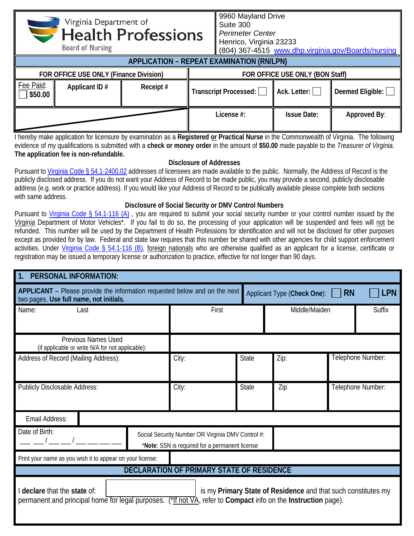|                                        | Virginia Department of<br><b>Board of Nursing</b> | <b>Health Professions</b>       |            | Suite 300<br><b>Perimeter Center</b><br>Henrico, Virginia 23233 |                     | (804) 367-4515 www.dhp.virginia.gov/Boards/nursing |
|----------------------------------------|---------------------------------------------------|---------------------------------|------------|-----------------------------------------------------------------|---------------------|----------------------------------------------------|
|                                        | <b>APPLICATION - REPEAT EXAMINATION (RN/LPN)</b>  |                                 |            |                                                                 |                     |                                                    |
| FOR OFFICE USE ONLY (Finance Division) |                                                   | FOR OFFICE USE ONLY (BON Staff) |            |                                                                 |                     |                                                    |
| Fee Paid:<br>\$50.00                   | Applicant ID#                                     | Receipt#                        |            | Transcript Processed:                                           | Ack. Letter: $\Box$ | Deemed Eligible: $\Box$                            |
|                                        |                                                   |                                 | License #: | <b>Issue Date:</b>                                              | Approved By:        |                                                    |

Virginia Department of

9960 Mayland Drive

I hereby make application for licensure by examination as a **Registered or Practical Nurse** in the Commonwealth of Virginia. The following evidence of my qualifications is submitted with a **check or money order** in the amount of **\$50.00** made payable to the *Treasurer of Virginia.* **The application fee is non-refundable.**

## **Disclosure of Addresses**

Pursuant to [Virginia Code § 54.1-2400.02](https://law.lis.virginia.gov/vacode/title54.1/chapter24/section54.1-2400.02/) addresses of licensees are made available to the public. Normally, the Address of Record is the publicly disclosed address. If you do not want your Address of Record to be made public, you may provide a second, publicly disclosable address (e.g. work or practice address). If you would like your Address of Record to be publically available please complete both sections with same address.

## **Disclosure of Social Security or DMV Control Numbers**

Pursuant to [Virginia Code § 54.1-116 \(A\)](https://law.lis.virginia.gov/vacode/title54.1/chapter1/section54.1-116/), you are required to submit your social security number or your control number issued by the *Virginia* Department of Motor Vehicles\*. If you fail to do so, the processing of your application will be suspended and fees will not be refunded. This number will be used by the Department of Health Professions for identification and will not be disclosed for other purposes except as provided for by law. Federal and state law requires that this number be shared with other agencies for child support enforcement activities. Under [Virginia Code § 54.1-116 \(B\),](https://law.lis.virginia.gov/vacode/title54.1/chapter1/section54.1-116/) foreign nationals who are otherwise qualified as an applicant for a license, certificate or registration may be issued a temporary license or authorization to practice, effective for not longer than 90 days.

| <b>PERSONAL INFORMATION:</b>                                                                                                                                                                                   |       |              |                                                                                                     |                   |            |               |
|----------------------------------------------------------------------------------------------------------------------------------------------------------------------------------------------------------------|-------|--------------|-----------------------------------------------------------------------------------------------------|-------------------|------------|---------------|
| <b>APPLICANT</b> – Please provide the information requested below and on the next<br>two pages. Use full name, not initials.                                                                                   |       |              | Applicant Type (Check One):                                                                         | <b>RN</b>         | <b>LPN</b> |               |
| Name:<br>Last                                                                                                                                                                                                  |       | First        |                                                                                                     | Middle/Maiden     |            | <b>Suffix</b> |
| <b>Previous Names Used</b><br>(if applicable or write N/A for not applicable):                                                                                                                                 |       |              |                                                                                                     |                   |            |               |
| Address of Record (Mailing Address):                                                                                                                                                                           | City: | <b>State</b> | Zip:                                                                                                | Telephone Number: |            |               |
| Publicly Disclosable Address:                                                                                                                                                                                  | City: | State        | Zip                                                                                                 | Telephone Number: |            |               |
| Email Address:                                                                                                                                                                                                 |       |              |                                                                                                     |                   |            |               |
| Date of Birth:                                                                                                                                                                                                 |       |              | Social Security Number OR Virginia DMV Control #:<br>*Note: SSN is required for a permanent license |                   |            |               |
| Print your name as you wish it to appear on your license:                                                                                                                                                      |       |              |                                                                                                     |                   |            |               |
| <b>DECLARATION OF PRIMARY STATE OF RESIDENCE</b>                                                                                                                                                               |       |              |                                                                                                     |                   |            |               |
| I declare that the state of:<br>is my Primary State of Residence and that such constitutes my<br>permanent and principal home for legal purposes. (*If not VA, refer to Compact info on the Instruction page). |       |              |                                                                                                     |                   |            |               |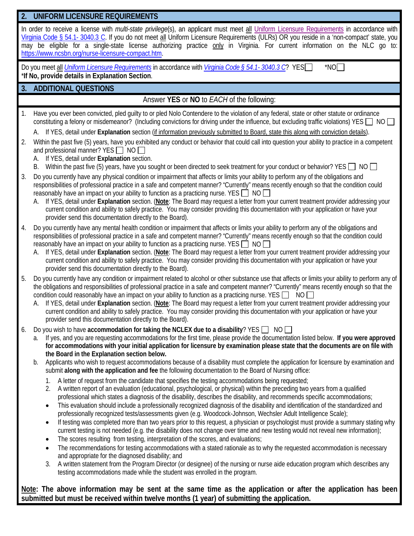| 2.             | UNIFORM LICENSURE REQUIREMENTS                                                                                                                                                                                                                                                                                                                                                                                                                                                                                                                                                                                                                                                                                                                                                                                                                                                                                                                                                                                                                                                                                                                                                                                                                                                                                                                                                                                                                                                                                                                                                                                                                                                                                                                                                                                                                                                                                                                                                                                                                                                                                                                 |
|----------------|------------------------------------------------------------------------------------------------------------------------------------------------------------------------------------------------------------------------------------------------------------------------------------------------------------------------------------------------------------------------------------------------------------------------------------------------------------------------------------------------------------------------------------------------------------------------------------------------------------------------------------------------------------------------------------------------------------------------------------------------------------------------------------------------------------------------------------------------------------------------------------------------------------------------------------------------------------------------------------------------------------------------------------------------------------------------------------------------------------------------------------------------------------------------------------------------------------------------------------------------------------------------------------------------------------------------------------------------------------------------------------------------------------------------------------------------------------------------------------------------------------------------------------------------------------------------------------------------------------------------------------------------------------------------------------------------------------------------------------------------------------------------------------------------------------------------------------------------------------------------------------------------------------------------------------------------------------------------------------------------------------------------------------------------------------------------------------------------------------------------------------------------|
|                | In order to receive a license with multi-state privilege(s), an applicant must meet all Uniform Licensure Requirements in accordance with<br>Virginia Code § 54.1- 3040.3 C. If you do not meet all Uniform Licensure Requirements (ULRs) OR you reside in a 'non-compact' state, you<br>may be eligible for a single-state license authorizing practice only in Virginia. For current information on the NLC go to:<br>https://www.ncsbn.org/nurse-licensure-compact.htm.                                                                                                                                                                                                                                                                                                                                                                                                                                                                                                                                                                                                                                                                                                                                                                                                                                                                                                                                                                                                                                                                                                                                                                                                                                                                                                                                                                                                                                                                                                                                                                                                                                                                     |
|                | $^*$ NO $\Box$<br>Do you meet all <i>Uniform Licensure Requirements</i> in accordance with <i>Virginia Code § 54.1-3040.3 C</i> ? YES<br>*If No, provide details in Explanation Section.                                                                                                                                                                                                                                                                                                                                                                                                                                                                                                                                                                                                                                                                                                                                                                                                                                                                                                                                                                                                                                                                                                                                                                                                                                                                                                                                                                                                                                                                                                                                                                                                                                                                                                                                                                                                                                                                                                                                                       |
| 3.             | <b>ADDITIONAL QUESTIONS</b>                                                                                                                                                                                                                                                                                                                                                                                                                                                                                                                                                                                                                                                                                                                                                                                                                                                                                                                                                                                                                                                                                                                                                                                                                                                                                                                                                                                                                                                                                                                                                                                                                                                                                                                                                                                                                                                                                                                                                                                                                                                                                                                    |
|                | Answer YES or NO to EACH of the following:                                                                                                                                                                                                                                                                                                                                                                                                                                                                                                                                                                                                                                                                                                                                                                                                                                                                                                                                                                                                                                                                                                                                                                                                                                                                                                                                                                                                                                                                                                                                                                                                                                                                                                                                                                                                                                                                                                                                                                                                                                                                                                     |
| $\mathbf{1}$ . | Have you ever been convicted, pled guilty to or pled Nolo Contendere to the violation of any federal, state or other statute or ordinance<br>constituting a felony or misdemeanor? (Including convictions for driving under the influence, but excluding traffic violations) YES $\Box$ NO $\Box$                                                                                                                                                                                                                                                                                                                                                                                                                                                                                                                                                                                                                                                                                                                                                                                                                                                                                                                                                                                                                                                                                                                                                                                                                                                                                                                                                                                                                                                                                                                                                                                                                                                                                                                                                                                                                                              |
| 2.             | Within the past five (5) years, have you exhibited any conduct or behavior that could call into question your ability to practice in a competent<br>and professional manner? YES □ NO □<br>A. If YES, detail under Explanation section.<br>B. Within the past five (5) years, have you sought or been directed to seek treatment for your conduct or behavior? YES NO                                                                                                                                                                                                                                                                                                                                                                                                                                                                                                                                                                                                                                                                                                                                                                                                                                                                                                                                                                                                                                                                                                                                                                                                                                                                                                                                                                                                                                                                                                                                                                                                                                                                                                                                                                          |
| 3.             | Do you currently have any physical condition or impairment that affects or limits your ability to perform any of the obligations and<br>responsibilities of professional practice in a safe and competent manner? "Currently" means recently enough so that the condition could<br>reasonably have an impact on your ability to function as a practicing nurse. YES $\Box$ NO $\Box$<br>A. If YES, detail under Explanation section. (Note: The Board may request a letter from your current treatment provider addressing your<br>current condition and ability to safely practice. You may consider providing this documentation with your application or have your<br>provider send this documentation directly to the Board).                                                                                                                                                                                                                                                                                                                                                                                                                                                                                                                                                                                                                                                                                                                                                                                                                                                                                                                                                                                                                                                                                                                                                                                                                                                                                                                                                                                                              |
| 4.             | Do you currently have any mental health condition or impairment that affects or limits your ability to perform any of the obligations and<br>responsibilities of professional practice in a safe and competent manner? "Currently" means recently enough so that the condition could<br>reasonably have an impact on your ability to function as a practicing nurse. YES $\Box$ NO $\Box$<br>If YES, detail under Explanation section. (Note: The Board may request a letter from your current treatment provider addressing your<br>current condition and ability to safely practice. You may consider providing this documentation with your application or have your<br>provider send this documentation directly to the Board).                                                                                                                                                                                                                                                                                                                                                                                                                                                                                                                                                                                                                                                                                                                                                                                                                                                                                                                                                                                                                                                                                                                                                                                                                                                                                                                                                                                                            |
| 5.             | Do you currently have any condition or impairment related to alcohol or other substance use that affects or limits your ability to perform any of<br>the obligations and responsibilities of professional practice in a safe and competent manner? "Currently" means recently enough so that the<br>condition could reasonably have an impact on your ability to function as a practicing nurse. YES $\Box$ NO<br>If YES, detail under Explanation section. (Note: The Board may request a letter from your current treatment provider addressing your<br>А.<br>current condition and ability to safely practice. You may consider providing this documentation with your application or have your<br>provider send this documentation directly to the Board).                                                                                                                                                                                                                                                                                                                                                                                                                                                                                                                                                                                                                                                                                                                                                                                                                                                                                                                                                                                                                                                                                                                                                                                                                                                                                                                                                                                 |
| 6.             | Do you wish to have accommodation for taking the NCLEX due to a disability? YES $\Box$ NO<br>If yes, and you are requesting accommodations for the first time, please provide the documentation listed below. If you were approved<br>a.<br>for accommodations with your initial application for licensure by examination please state that the documents are on file with<br>the Board in the Explanation section below.<br>Applicants who wish to request accommodations because of a disability must complete the application for licensure by examination and<br>b.<br>submit along with the application and fee the following documentation to the Board of Nursing office:<br>A letter of request from the candidate that specifies the testing accommodations being requested;<br>1.<br>A written report of an evaluation (educational, psychological, or physical) within the preceding two years from a qualified<br>2.<br>professional which states a diagnosis of the disability, describes the disability, and recommends specific accommodations;<br>This evaluation should include a professionally recognized diagnosis of the disability and identification of the standardized and<br>$\bullet$<br>professionally recognized tests/assessments given (e.g. Woodcock-Johnson, Wechsler Adult Intelligence Scale);<br>If testing was completed more than two years prior to this request, a physician or psychologist must provide a summary stating why<br>$\bullet$<br>current testing is not needed (e.g. the disability does not change over time and new testing would not reveal new information);<br>The scores resulting from testing, interpretation of the scores, and evaluations;<br>$\bullet$<br>The recommendations for testing accommodations with a stated rationale as to why the requested accommodation is necessary<br>$\bullet$<br>and appropriate for the diagnosed disability; and<br>A written statement from the Program Director (or designee) of the nursing or nurse aide education program which describes any<br>3.<br>testing accommodations made while the student was enrolled in the program. |
|                | A. If YES, detail under Explanation section (if information previously submitted to Board, state this along with conviction details).                                                                                                                                                                                                                                                                                                                                                                                                                                                                                                                                                                                                                                                                                                                                                                                                                                                                                                                                                                                                                                                                                                                                                                                                                                                                                                                                                                                                                                                                                                                                                                                                                                                                                                                                                                                                                                                                                                                                                                                                          |

**Note: The above information may be sent at the same time as the application or after the application has been submitted but must be received within twelve months (1 year) of submitting the application.**